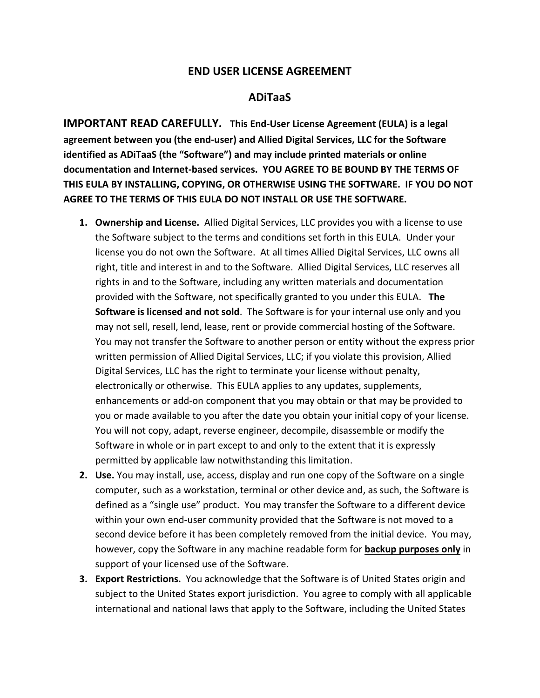## **END USER LICENSE AGREEMENT**

## **ADiTaaS**

**IMPORTANT READ CAREFULLY. This End-User License Agreement (EULA) is a legal agreement between you (the end-user) and Allied Digital Services, LLC for the Software identified as ADiTaaS (the "Software") and may include printed materials or online documentation and Internet-based services. YOU AGREE TO BE BOUND BY THE TERMS OF THIS EULA BY INSTALLING, COPYING, OR OTHERWISE USING THE SOFTWARE. IF YOU DO NOT AGREE TO THE TERMS OF THIS EULA DO NOT INSTALL OR USE THE SOFTWARE.** 

- **1. Ownership and License.** Allied Digital Services, LLC provides you with a license to use the Software subject to the terms and conditions set forth in this EULA. Under your license you do not own the Software. At all times Allied Digital Services, LLC owns all right, title and interest in and to the Software. Allied Digital Services, LLC reserves all rights in and to the Software, including any written materials and documentation provided with the Software, not specifically granted to you under this EULA. **The Software is licensed and not sold**. The Software is for your internal use only and you may not sell, resell, lend, lease, rent or provide commercial hosting of the Software. You may not transfer the Software to another person or entity without the express prior written permission of Allied Digital Services, LLC; if you violate this provision, Allied Digital Services, LLC has the right to terminate your license without penalty, electronically or otherwise. This EULA applies to any updates, supplements, enhancements or add-on component that you may obtain or that may be provided to you or made available to you after the date you obtain your initial copy of your license. You will not copy, adapt, reverse engineer, decompile, disassemble or modify the Software in whole or in part except to and only to the extent that it is expressly permitted by applicable law notwithstanding this limitation.
- **2. Use.** You may install, use, access, display and run one copy of the Software on a single computer, such as a workstation, terminal or other device and, as such, the Software is defined as a "single use" product. You may transfer the Software to a different device within your own end-user community provided that the Software is not moved to a second device before it has been completely removed from the initial device. You may, however, copy the Software in any machine readable form for **backup purposes only** in support of your licensed use of the Software.
- **3. Export Restrictions.** You acknowledge that the Software is of United States origin and subject to the United States export jurisdiction. You agree to comply with all applicable international and national laws that apply to the Software, including the United States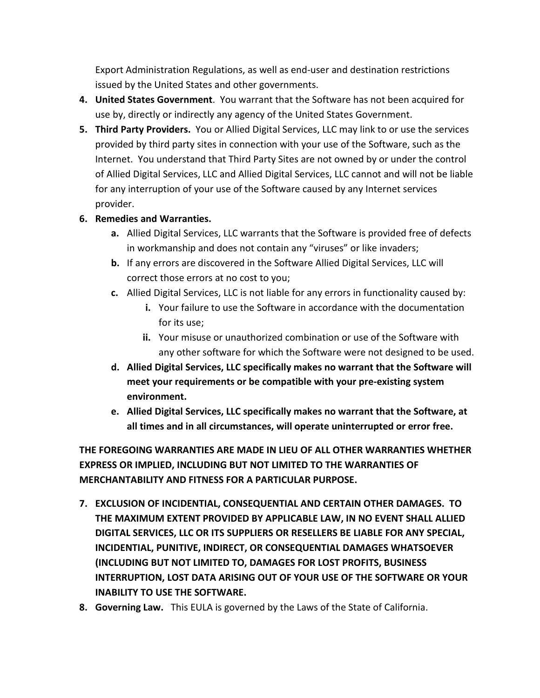Export Administration Regulations, as well as end-user and destination restrictions issued by the United States and other governments.

- **4. United States Government**. You warrant that the Software has not been acquired for use by, directly or indirectly any agency of the United States Government.
- **5. Third Party Providers.** You or Allied Digital Services, LLC may link to or use the services provided by third party sites in connection with your use of the Software, such as the Internet. You understand that Third Party Sites are not owned by or under the control of Allied Digital Services, LLC and Allied Digital Services, LLC cannot and will not be liable for any interruption of your use of the Software caused by any Internet services provider.

## **6. Remedies and Warranties.**

- **a.** Allied Digital Services, LLC warrants that the Software is provided free of defects in workmanship and does not contain any "viruses" or like invaders;
- **b.** If any errors are discovered in the Software Allied Digital Services, LLC will correct those errors at no cost to you;
- **c.** Allied Digital Services, LLC is not liable for any errors in functionality caused by:
	- **i.** Your failure to use the Software in accordance with the documentation for its use;
	- **ii.** Your misuse or unauthorized combination or use of the Software with any other software for which the Software were not designed to be used.
- **d. Allied Digital Services, LLC specifically makes no warrant that the Software will meet your requirements or be compatible with your pre-existing system environment.**
- **e. Allied Digital Services, LLC specifically makes no warrant that the Software, at all times and in all circumstances, will operate uninterrupted or error free.**

**THE FOREGOING WARRANTIES ARE MADE IN LIEU OF ALL OTHER WARRANTIES WHETHER EXPRESS OR IMPLIED, INCLUDING BUT NOT LIMITED TO THE WARRANTIES OF MERCHANTABILITY AND FITNESS FOR A PARTICULAR PURPOSE.** 

- **7. EXCLUSION OF INCIDENTIAL, CONSEQUENTIAL AND CERTAIN OTHER DAMAGES. TO THE MAXIMUM EXTENT PROVIDED BY APPLICABLE LAW, IN NO EVENT SHALL ALLIED DIGITAL SERVICES, LLC OR ITS SUPPLIERS OR RESELLERS BE LIABLE FOR ANY SPECIAL, INCIDENTIAL, PUNITIVE, INDIRECT, OR CONSEQUENTIAL DAMAGES WHATSOEVER (INCLUDING BUT NOT LIMITED TO, DAMAGES FOR LOST PROFITS, BUSINESS INTERRUPTION, LOST DATA ARISING OUT OF YOUR USE OF THE SOFTWARE OR YOUR INABILITY TO USE THE SOFTWARE.**
- **8. Governing Law.** This EULA is governed by the Laws of the State of California.